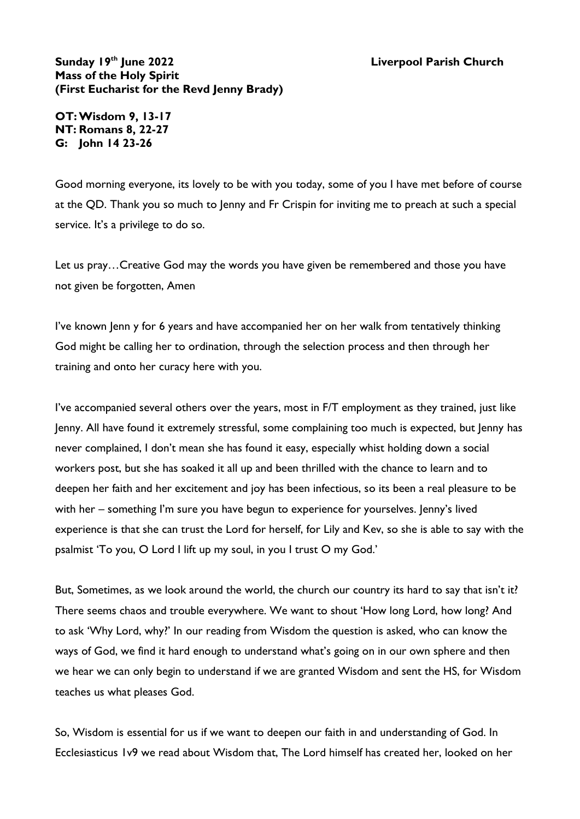## **Sunday 19th June 2022 Liverpool Parish Church Mass of the Holy Spirit (First Eucharist for the Revd Jenny Brady)**

**OT:Wisdom 9, 13-17 NT: Romans 8, 22-27 G: John 14 23-26**

Good morning everyone, its lovely to be with you today, some of you I have met before of course at the QD. Thank you so much to Jenny and Fr Crispin for inviting me to preach at such a special service. It's a privilege to do so.

Let us pray…Creative God may the words you have given be remembered and those you have not given be forgotten, Amen

I've known Jenn y for 6 years and have accompanied her on her walk from tentatively thinking God might be calling her to ordination, through the selection process and then through her training and onto her curacy here with you.

I've accompanied several others over the years, most in F/T employment as they trained, just like Jenny. All have found it extremely stressful, some complaining too much is expected, but Jenny has never complained, I don't mean she has found it easy, especially whist holding down a social workers post, but she has soaked it all up and been thrilled with the chance to learn and to deepen her faith and her excitement and joy has been infectious, so its been a real pleasure to be with her – something I'm sure you have begun to experience for yourselves. Jenny's lived experience is that she can trust the Lord for herself, for Lily and Kev, so she is able to say with the psalmist 'To you, O Lord I lift up my soul, in you I trust O my God.'

But, Sometimes, as we look around the world, the church our country its hard to say that isn't it? There seems chaos and trouble everywhere. We want to shout 'How long Lord, how long? And to ask 'Why Lord, why?' In our reading from Wisdom the question is asked, who can know the ways of God, we find it hard enough to understand what's going on in our own sphere and then we hear we can only begin to understand if we are granted Wisdom and sent the HS, for Wisdom teaches us what pleases God.

So, Wisdom is essential for us if we want to deepen our faith in and understanding of God. In Ecclesiasticus 1v9 we read about Wisdom that, The Lord himself has created her, looked on her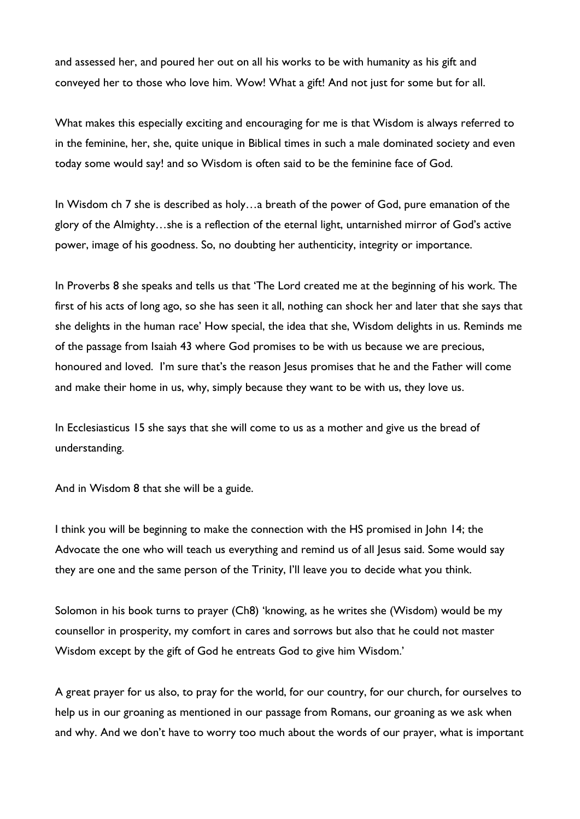and assessed her, and poured her out on all his works to be with humanity as his gift and conveyed her to those who love him. Wow! What a gift! And not just for some but for all.

What makes this especially exciting and encouraging for me is that Wisdom is always referred to in the feminine, her, she, quite unique in Biblical times in such a male dominated society and even today some would say! and so Wisdom is often said to be the feminine face of God.

In Wisdom ch 7 she is described as holy...a breath of the power of God, pure emanation of the glory of the Almighty…she is a reflection of the eternal light, untarnished mirror of God's active power, image of his goodness. So, no doubting her authenticity, integrity or importance.

In Proverbs 8 she speaks and tells us that 'The Lord created me at the beginning of his work. The first of his acts of long ago, so she has seen it all, nothing can shock her and later that she says that she delights in the human race' How special, the idea that she, Wisdom delights in us. Reminds me of the passage from Isaiah 43 where God promises to be with us because we are precious, honoured and loved. I'm sure that's the reason Jesus promises that he and the Father will come and make their home in us, why, simply because they want to be with us, they love us.

In Ecclesiasticus 15 she says that she will come to us as a mother and give us the bread of understanding.

And in Wisdom 8 that she will be a guide.

I think you will be beginning to make the connection with the HS promised in John 14; the Advocate the one who will teach us everything and remind us of all Jesus said. Some would say they are one and the same person of the Trinity, I'll leave you to decide what you think.

Solomon in his book turns to prayer (Ch8) 'knowing, as he writes she (Wisdom) would be my counsellor in prosperity, my comfort in cares and sorrows but also that he could not master Wisdom except by the gift of God he entreats God to give him Wisdom.'

A great prayer for us also, to pray for the world, for our country, for our church, for ourselves to help us in our groaning as mentioned in our passage from Romans, our groaning as we ask when and why. And we don't have to worry too much about the words of our prayer, what is important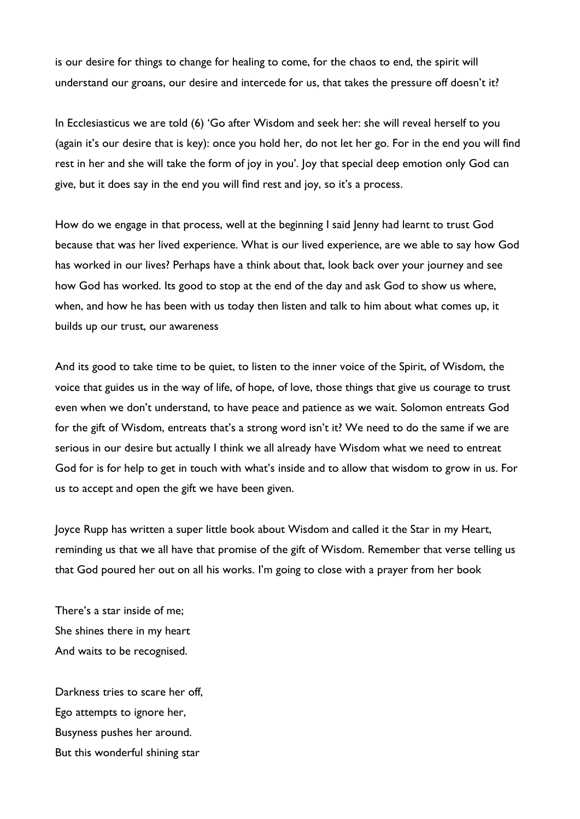is our desire for things to change for healing to come, for the chaos to end, the spirit will understand our groans, our desire and intercede for us, that takes the pressure off doesn't it?

In Ecclesiasticus we are told (6) 'Go after Wisdom and seek her: she will reveal herself to you (again it's our desire that is key): once you hold her, do not let her go. For in the end you will find rest in her and she will take the form of joy in you'. Joy that special deep emotion only God can give, but it does say in the end you will find rest and joy, so it's a process.

How do we engage in that process, well at the beginning I said Jenny had learnt to trust God because that was her lived experience. What is our lived experience, are we able to say how God has worked in our lives? Perhaps have a think about that, look back over your journey and see how God has worked. Its good to stop at the end of the day and ask God to show us where, when, and how he has been with us today then listen and talk to him about what comes up, it builds up our trust, our awareness

And its good to take time to be quiet, to listen to the inner voice of the Spirit, of Wisdom, the voice that guides us in the way of life, of hope, of love, those things that give us courage to trust even when we don't understand, to have peace and patience as we wait. Solomon entreats God for the gift of Wisdom, entreats that's a strong word isn't it? We need to do the same if we are serious in our desire but actually I think we all already have Wisdom what we need to entreat God for is for help to get in touch with what's inside and to allow that wisdom to grow in us. For us to accept and open the gift we have been given.

Joyce Rupp has written a super little book about Wisdom and called it the Star in my Heart, reminding us that we all have that promise of the gift of Wisdom. Remember that verse telling us that God poured her out on all his works. I'm going to close with a prayer from her book

There's a star inside of me; She shines there in my heart And waits to be recognised.

Darkness tries to scare her off, Ego attempts to ignore her, Busyness pushes her around. But this wonderful shining star